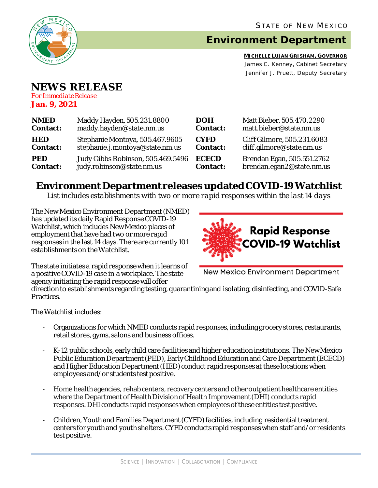

## **Environment Department**

**MICHELLE LUJAN GRISHAM, GOVERNOR** James C. Kenney, Cabinet Secretary Jennifer J. Pruett, Deputy Secretary

## **NEWS RELEASE**

*For Immediate Release* **Jan. 9, 2021**

| <b>NMED</b>     | Maddy Hayden, 505.231.8800        | <b>DOH</b>      | Matt Bieber, 505.470.2290   |
|-----------------|-----------------------------------|-----------------|-----------------------------|
| <b>Contact:</b> | maddy.hayden@state.nm.us          | <b>Contact:</b> | matt.bieber@state.nm.us     |
| <b>HED</b>      | Stephanie Montoya, 505.467.9605   | <b>CYFD</b>     | Cliff Gilmore, 505.231.6083 |
| <b>Contact:</b> | stephanie.j.montoya@state.nm.us   | <b>Contact:</b> | cliff.gilmore@state.nm.us   |
| <b>PED</b>      | Judy Gibbs Robinson, 505.469.5496 | <b>ECECD</b>    | Brendan Egan, 505.551.2762  |
| <b>Contact:</b> | judy.robinson@state.nm.us         | <b>Contact:</b> | brendan.egan2@state.nm.us   |

## **Environment Department releases updated COVID-19 Watchlist**

*List includes establishments with two or more rapid responses within the last 14 days*

The New Mexico Environment Department(NMED) has updated its daily Rapid Response COVID-19 Watchlist, which includes New Mexico places of employment that have had two or more rapid responses in the last 14 days. There are currently 101 establishments on the Watchlist.



The state initiates a rapid response when it learns of a positive COVID-19 case in a workplace. The state agency initiating the rapid response will offer

New Mexico Environment Department

direction to establishments regarding testing, quarantining and isolating, disinfecting, and COVID-Safe Practices.

The Watchlist includes:

- Organizations for which NMED conducts rapid responses, including grocery stores, restaurants, retail stores, gyms, salons and business offices.
- K-12 public schools, early child care facilities and higher education institutions. The New Mexico Public Education Department (PED), Early Childhood Education and Care Department (ECECD) and Higher Education Department (HED) conduct rapid responses at these locations when employees and/or students test positive.
- Home health agencies, rehab centers, recovery centers and other outpatient healthcare entities where the Department of Health Division of Health Improvement (DHI) conducts rapid responses. DHIconducts rapid responses when employees of these entities test positive.
- Children, Youth and Families Department (CYFD) facilities, including residential treatment centers for youth and youth shelters.CYFD conducts rapid responses when staff and/or residents test positive.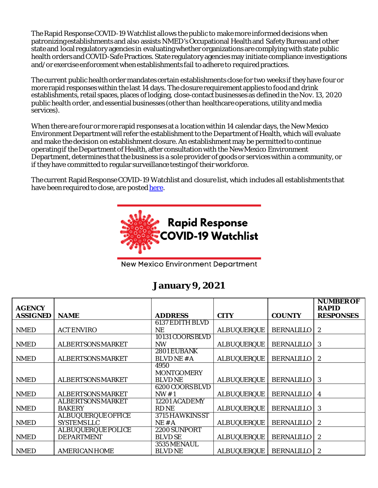The Rapid Response COVID-19 Watchlist allows the public to make more informed decisions when patronizing establishments and also assists NMED's Occupational Health and Safety Bureauand other state and local regulatory agencies in evaluating whether organizations are complying with state public health orders and COVID-Safe Practices. State regulatory agencies may initiate compliance investigations and/or exercise enforcement when establishments fail to adhere to required practices.

The current public health order mandates certain establishments close for two weeks if they have four or more rapid responses within the last 14 days. The closure requirement applies to food and drink establishments, retail spaces, places of lodging, close-contact businesses as defined in the Nov. 13, 2020 public health order, and essential businesses (other than healthcare operations, utility and media services).

When there are four or more rapid responses at a location within 14 calendar days, the New Mexico Environment Department will refer the establishment to the Department of Health, which will evaluate and make the decision on establishment closure. An establishment may be permitted to continue operating if the Department of Health, after consultation with the New Mexico Environment Department, determines that the business is a sole provider of goods or services within a community, or if they have committed to regular surveillance testing of their workforce.

The current Rapid Response COVID-19 Watchlist and closure list, which includes all establishments that have been required to close, are poste[d here.](https://www.env.nm.gov/rapid-response-data/)



**New Mexico Environment Department** 

## **January9, 2021**

| <b>AGENCY</b>   |                           |                        |                    |                   | <b>NUMBER OF</b><br><b>RAPID</b> |
|-----------------|---------------------------|------------------------|--------------------|-------------------|----------------------------------|
| <b>ASSIGNED</b> | <b>NAME</b>               | <b>ADDRESS</b>         | <b>CITY</b>        | <b>COUNTY</b>     | <b>RESPONSES</b>                 |
|                 |                           | <b>6137 EDITH BLVD</b> |                    |                   |                                  |
| <b>NMED</b>     | <b>ACT ENVIRO</b>         | NE                     | <b>ALBUQUERQUE</b> | <b>BERNALILLO</b> | $\mathbf{2}$                     |
|                 |                           | 10131 COORS BLVD       |                    |                   |                                  |
| <b>NMED</b>     | <b>ALBERTSONS MARKET</b>  | <b>NW</b>              | <b>ALBUQUERQUE</b> | <b>BERNALILLO</b> | 3                                |
|                 |                           | 2801 EUBANK            |                    |                   |                                  |
| <b>NMED</b>     | <b>ALBERTSONS MARKET</b>  | BLVDNE #A              | <b>ALBUQUERQUE</b> | <b>BERNALILLO</b> | $\boldsymbol{2}$                 |
|                 |                           | 4950                   |                    |                   |                                  |
|                 |                           | <b>MONTGOMERY</b>      |                    |                   |                                  |
| <b>NMED</b>     | <b>ALBERTSONS MARKET</b>  | <b>BLVDNE</b>          | <b>ALBUQUERQUE</b> | <b>BERNALILLO</b> | 3                                |
|                 |                           | 6200 COORS BLVD        |                    |                   |                                  |
| <b>NMED</b>     | <b>ALBERTSONS MARKET</b>  | NW#1                   | <b>ALBUQUERQUE</b> | <b>BERNALILLO</b> | 4                                |
|                 | <b>ALBERTSONS MARKET</b>  | 12201 ACADEMY          |                    |                   |                                  |
| <b>NMED</b>     | <b>BAKERY</b>             | <b>RD NE</b>           | <b>ALBUQUERQUE</b> | <b>BERNALILLO</b> | 3                                |
|                 | <b>ALBUQUERQUE OFFICE</b> | 3715 HAWKINS ST        |                    |                   |                                  |
| <b>NMED</b>     | <b>SYSTEMSLLC</b>         | NE#A                   | <b>ALBUQUERQUE</b> | <b>BERNALILLO</b> | $\mathbf{2}$                     |
|                 | <b>ALBUQUERQUE POLICE</b> | 2200 SUNPORT           |                    |                   |                                  |
| <b>NMED</b>     | <b>DEPARTMENT</b>         | <b>BLVD SE</b>         | <b>ALBUQUERQUE</b> | <b>BERNALILLO</b> | 2                                |
|                 |                           | 3535 MENAUL            |                    |                   |                                  |
| <b>NMED</b>     | <b>AMERICAN HOME</b>      | <b>BLVD NE</b>         | <b>ALBUQUERQUE</b> | <b>BERNALILLO</b> | 2                                |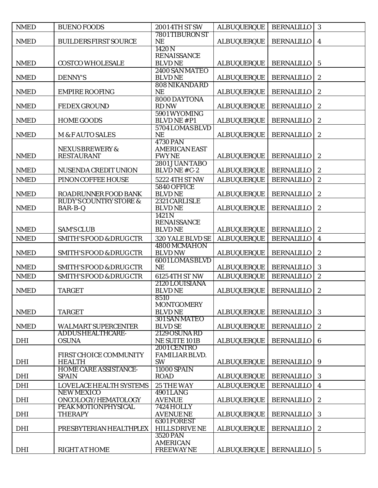| <b>NMED</b> | <b>BUENO FOODS</b>                       | <b>2001 4TH ST SW</b>                    | <b>ALBUQUERQUE</b> | <b>BERNALILLO</b> | 3                       |
|-------------|------------------------------------------|------------------------------------------|--------------------|-------------------|-------------------------|
|             |                                          | 7801 TIBURON ST                          |                    |                   |                         |
| <b>NMED</b> | <b>BUILDERS FIRST SOURCE</b>             | <b>NE</b><br>1420N                       | <b>ALBUQUERQUE</b> | <b>BERNALILLO</b> | $\overline{\mathbf{4}}$ |
|             |                                          | <b>RENAISSANCE</b>                       |                    |                   |                         |
| <b>NMED</b> | <b>COSTCO WHOLESALE</b>                  | <b>BLVDNE</b>                            | <b>ALBUQUERQUE</b> | <b>BERNALILLO</b> | $\overline{5}$          |
|             |                                          | 2400 SAN MATEO                           |                    |                   |                         |
| <b>NMED</b> | <b>DENNY'S</b>                           | <b>BLVDNE</b>                            | <b>ALBUQUERQUE</b> | <b>BERNALILLO</b> | $\boldsymbol{2}$        |
| <b>NMED</b> | <b>EMPIRE ROOFING</b>                    | 808 NIKANDARD<br><b>NE</b>               | <b>ALBUQUERQUE</b> | <b>BERNALILLO</b> | $\boldsymbol{2}$        |
|             |                                          | 8000 DAYTONA                             |                    |                   |                         |
| <b>NMED</b> | <b>FEDEX GROUND</b>                      | <b>RD NW</b>                             | <b>ALBUQUERQUE</b> | <b>BERNALILLO</b> | $\boldsymbol{2}$        |
|             |                                          | 5901 WYOMING                             |                    |                   |                         |
| <b>NMED</b> | <b>HOME GOODS</b>                        | <b>BLVDNE#P1</b><br>5704 LOMAS BLVD      | <b>ALBUQUERQUE</b> | <b>BERNALILLO</b> | $\boldsymbol{2}$        |
| <b>NMED</b> | <b>M &amp; FAUTO SALES</b>               | <b>NE</b>                                | <b>ALBUQUERQUE</b> | <b>BERNALILLO</b> | $\boldsymbol{2}$        |
|             |                                          | <b>4730 PAN</b>                          |                    |                   |                         |
|             | <b>NEXUS BREWERY &amp;</b>               | <b>AMERICAN EAST</b>                     |                    |                   |                         |
| <b>NMED</b> | <b>RESTAURANT</b>                        | <b>FWYNE</b><br>2801 JUAN TABO           | <b>ALBUQUERQUE</b> | <b>BERNALILLO</b> | $\boldsymbol{2}$        |
| <b>NMED</b> | NUSENDA CREDIT UNION                     | BLVDNE#C-2                               | <b>ALBUQUERQUE</b> | <b>BERNALILLO</b> | $\boldsymbol{2}$        |
| <b>NMED</b> | PINON COFFEE HOUSE                       | 5222 4TH ST NW                           | <b>ALBUQUERQUE</b> | <b>BERNALILLO</b> | $\boldsymbol{2}$        |
|             |                                          | 5840 OFFICE                              |                    |                   |                         |
| <b>NMED</b> | ROADRUNNER FOOD BANK                     | <b>BLVDNE</b>                            | <b>ALBUQUERQUE</b> | <b>BERNALILLO</b> | $\boldsymbol{2}$        |
|             | <b>RUDY'S COUNTRY STORE &amp;</b>        | 2321 CARLISLE                            |                    |                   |                         |
| <b>NMED</b> | BAR-B-Q                                  | <b>BLVDNE</b><br>1421N                   | <b>ALBUQUERQUE</b> | <b>BERNALILLO</b> | $\boldsymbol{2}$        |
|             |                                          | <b>RENAISSANCE</b>                       |                    |                   |                         |
| <b>NMED</b> | <b>SAM'S CLUB</b>                        | <b>BLVDNE</b>                            | <b>ALBUQUERQUE</b> | <b>BERNALILLO</b> | $\boldsymbol{2}$        |
| <b>NMED</b> | <b>SMITH'S FOOD &amp; DRUG CTR</b>       | 320 YALE BLVD SE                         | <b>ALBUQUERQUE</b> | <b>BERNALILLO</b> | $\boldsymbol{4}$        |
|             |                                          | 4800 MCMAHON                             |                    |                   |                         |
| <b>NMED</b> | <b>SMITH'S FOOD &amp; DRUG CTR</b>       | <b>BLVD NW</b>                           | <b>ALBUQUERQUE</b> | <b>BERNALILLO</b> | $\boldsymbol{2}$        |
| <b>NMED</b> | <b>SMITH'S FOOD &amp; DRUG CTR</b>       | <b>6001 LOMAS BLVD</b><br><b>NE</b>      | <b>ALBUQUERQUE</b> | <b>BERNALILLO</b> | $\boldsymbol{3}$        |
| <b>NMED</b> | <b>SMITH'S FOOD &amp; DRUG CTR</b>       | 6125 4TH ST NW                           | <b>ALBUQUERQUE</b> | <b>BERNALILLO</b> | $\boldsymbol{2}$        |
|             |                                          | 2120 LOUISIANA                           |                    |                   |                         |
| <b>NMED</b> | <b>TARGET</b>                            | <b>BLVDNE</b>                            | <b>ALBUQUERQUE</b> | <b>BERNALILLO</b> | $\boldsymbol{2}$        |
|             |                                          | 8510                                     |                    |                   |                         |
| <b>NMED</b> | <b>TARGET</b>                            | <b>MONTGOMERY</b><br><b>BLVDNE</b>       | <b>ALBUQUERQUE</b> | <b>BERNALILLO</b> | 3                       |
|             |                                          | 301 SAN MATEO                            |                    |                   |                         |
| <b>NMED</b> | <b>WALMART SUPERCENTER</b>               | <b>BLVD SE</b>                           | <b>ALBUQUERQUE</b> | <b>BERNALILLO</b> | $\boldsymbol{2}$        |
|             | <b>ADDUS HEALTHCARE-</b>                 | 2129 OSUNA RD                            |                    |                   |                         |
| <b>DHI</b>  | <b>OSUNA</b>                             | <b>NE SUITE 101B</b><br>2001 CENTRO      | <b>ALBUQUERQUE</b> | <b>BERNALILLO</b> | $\boldsymbol{6}$        |
|             | FIRST CHOICE COMMUNITY                   | FAMILIAR BLVD.                           |                    |                   |                         |
| <b>DHI</b>  | <b>HEALTH</b>                            | <b>SW</b>                                | <b>ALBUQUERQUE</b> | <b>BERNALILLO</b> | 9                       |
|             | <b>HOME CARE ASSISTANCE-</b>             | 11000 SPAIN                              |                    |                   |                         |
| <b>DHI</b>  | <b>SPAIN</b>                             | <b>ROAD</b>                              | <b>ALBUQUERQUE</b> | <b>BERNALILLO</b> | 3                       |
| <b>DHI</b>  | LOVELACE HEALTH SYSTEMS                  | <b>25 THE WAY</b>                        | <b>ALBUQUERQUE</b> | <b>BERNALILLO</b> | $\overline{4}$          |
| <b>DHI</b>  | <b>NEW MEXICO</b><br>ONCOLOGY/HEMATOLOGY | <b>4901 LANG</b><br><b>AVENUE</b>        | <b>ALBUQUERQUE</b> | <b>BERNALILLO</b> | $\boldsymbol{2}$        |
|             | PEAK MOTION PHYSICAL                     | 7424 HOLLY                               |                    |                   |                         |
| <b>DHI</b>  | <b>THERAPY</b>                           | <b>AVENUENE</b>                          | <b>ALBUQUERQUE</b> | <b>BERNALILLO</b> | 3                       |
|             |                                          | <b>6301 FOREST</b>                       |                    |                   |                         |
| <b>DHI</b>  | PRESBYTERIAN HEALTHPLEX                  | <b>HILLS DRIVE NE</b><br><b>3520 PAN</b> | <b>ALBUQUERQUE</b> | <b>BERNALILLO</b> | $\sqrt{2}$              |
|             |                                          | <b>AMERICAN</b>                          |                    |                   |                         |
| <b>DHI</b>  | <b>RIGHT AT HOME</b>                     | <b>FREEWAYNE</b>                         | <b>ALBUQUERQUE</b> | <b>BERNALILLO</b> | $5\overline{)}$         |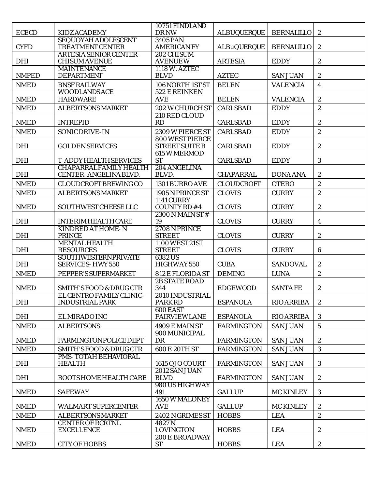|              |                                                                | 10751 FINDLAND                                  |                    |                   |                         |
|--------------|----------------------------------------------------------------|-------------------------------------------------|--------------------|-------------------|-------------------------|
| <b>ECECD</b> | <b>KIDZ ACADEMY</b><br><b>SEQUOYAH ADOLESCENT</b>              | <b>DRNW</b><br><b>3405 PAN</b>                  | <b>ALBUQUERQUE</b> | <b>BERNALILLO</b> | $\boldsymbol{2}$        |
| <b>CYFD</b>  | <b>TREATMENT CENTER</b>                                        | <b>AMERICAN FY</b>                              | <b>ALBuQUERQUE</b> | <b>BERNALILLO</b> | $\boldsymbol{2}$        |
|              | <b>ARTESIA SENIOR CENTER-</b>                                  | 202 CHISUM                                      |                    |                   |                         |
| <b>DHI</b>   | <b>CHISUM AVENUE</b><br><b>MAINTENANCE</b>                     | <b>AVENUEW</b><br>1118 W. AZTEC                 | <b>ARTESIA</b>     | <b>EDDY</b>       | $\boldsymbol{2}$        |
| <b>NMPED</b> | <b>DEPARTMENT</b>                                              | <b>BLVD</b>                                     | <b>AZTEC</b>       | <b>SAN JUAN</b>   | $\boldsymbol{2}$        |
| <b>NMED</b>  | <b>BNSF RAILWAY</b>                                            | 106 NORTH 1ST ST                                | <b>BELEN</b>       | <b>VALENCIA</b>   | $\overline{\mathbf{4}}$ |
| <b>NMED</b>  | <b>WOODLANDS ACE</b><br><b>HARDWARE</b>                        | 522 E REINKEN<br><b>AVE</b>                     | <b>BELEN</b>       | <b>VALENCIA</b>   | $\sqrt{2}$              |
| <b>NMED</b>  | <b>ALBERTSONS MARKET</b>                                       | <b>202 W CHURCH ST</b>                          | <b>CARLSBAD</b>    | <b>EDDY</b>       | $\overline{c}$          |
|              |                                                                | 210 RED CLOUD                                   |                    |                   |                         |
| <b>NMED</b>  | <b>INTREPID</b>                                                | RD                                              | <b>CARLSBAD</b>    | <b>EDDY</b>       | $\boldsymbol{2}$        |
| <b>NMED</b>  | SONIC DRIVE-IN                                                 | 2309 W PIERCE ST                                | <b>CARLSBAD</b>    | <b>EDDY</b>       | $\overline{c}$          |
| <b>DHI</b>   | <b>GOLDEN SERVICES</b>                                         | <b>800 WEST PIERCE</b><br><b>STREET SUITE B</b> | <b>CARLSBAD</b>    | <b>EDDY</b>       | $\boldsymbol{2}$        |
|              |                                                                | 615 W MERMOD                                    |                    |                   |                         |
| <b>DHI</b>   | <b>T-ADDY HEALTH SERVICES</b><br><b>CHAPARRALFAMILY HEALTH</b> | <b>ST</b><br>204 ANGELINA                       | <b>CARLSBAD</b>    | <b>EDDY</b>       | $\mathbf{3}$            |
| <b>DHI</b>   | <b>CENTER-ANGELINA BLVD.</b>                                   | BLVD.                                           | <b>CHAPARRAL</b>   | <b>DONA ANA</b>   | $\boldsymbol{2}$        |
| <b>NMED</b>  | <b>CLOUDCROFT BREWING CO</b>                                   | 1301 BURRO AVE                                  | <b>CLOUDCROFT</b>  | <b>OTERO</b>      | $\overline{c}$          |
| <b>NMED</b>  | <b>ALBERTSONS MARKET</b>                                       | 1905 N PRINCE ST                                | <b>CLOVIS</b>      | <b>CURRY</b>      | $\sqrt{2}$              |
| <b>NMED</b>  | SOUTHWEST CHEESE LLC                                           | <b>1141 CURRY</b><br>COUNTY RD #4               | <b>CLOVIS</b>      | <b>CURRY</b>      | $\boldsymbol{2}$        |
|              |                                                                | $2300N$ MAIN ST #                               |                    |                   |                         |
| <b>DHI</b>   | <b>INTERIM HEALTH CARE</b>                                     | 19                                              | <b>CLOVIS</b>      | <b>CURRY</b>      | $\boldsymbol{4}$        |
| <b>DHI</b>   | <b>KINDRED AT HOME-N</b><br><b>PRINCE</b>                      | 2708 N PRINCE<br><b>STREET</b>                  | <b>CLOVIS</b>      | <b>CURRY</b>      | $\sqrt{2}$              |
| <b>DHI</b>   | <b>MENTAL HEALTH</b><br><b>RESOURCES</b>                       | 1100 WEST 21ST<br><b>STREET</b>                 | <b>CLOVIS</b>      | <b>CURRY</b>      | $6\phantom{1}$          |
|              | <b>SOUTHWESTERNPRIVATE</b>                                     | 6382US                                          |                    |                   |                         |
| <b>DHI</b>   | <b>SERVICES-HWY 550</b>                                        | HIGHWAY 550                                     | <b>CUBA</b>        | <b>SANDOVAL</b>   | $\boldsymbol{2}$        |
| <b>NMED</b>  | PEPPER'S SUPERMARKET                                           | 812 E FLORIDA ST<br><b>2B STATE ROAD</b>        | <b>DEMING</b>      | <b>LUNA</b>       | $\sqrt{2}$              |
| <b>NMED</b>  | <b>SMITH'S FOOD &amp; DRUG CTR</b>                             | 344                                             | <b>EDGEWOOD</b>    | <b>SANTAFE</b>    | $\boldsymbol{2}$        |
| <b>DHI</b>   | EL CENTRO FAMILY CLINIC-<br><b>INDUSTRIAL PARK</b>             | 2010 INDUSTRIAL<br><b>PARK RD</b>               | <b>ESPANOLA</b>    | <b>RIO ARRIBA</b> | $\boldsymbol{2}$        |
|              |                                                                | 600 EAST                                        |                    |                   |                         |
| <b>DHI</b>   | EL MIRADO INC                                                  | <b>FAIRVIEWLANE</b>                             | <b>ESPANOLA</b>    | <b>RIO ARRIBA</b> | 3                       |
| <b>NMED</b>  | <b>ALBERTSONS</b>                                              | 4909 E MAIN ST                                  | <b>FARMINGTON</b>  | <b>SAN JUAN</b>   | $5\overline{)}$         |
| <b>NMED</b>  | <b>FARMINGTONPOLICE DEPT</b>                                   | 900 MUNICIPAL<br>DR                             | <b>FARMINGTON</b>  | <b>SAN JUAN</b>   | $\boldsymbol{2}$        |
| <b>NMED</b>  | <b>SMITH'S FOOD &amp; DRUG CTR</b>                             | <b>600 E 20TH ST</b>                            | <b>FARMINGTON</b>  | <b>SAN JUAN</b>   | 3                       |
|              | <b>PMS-TOTAH BEHAVIORAL</b>                                    |                                                 |                    |                   |                         |
| <b>DHI</b>   | <b>HEALTH</b>                                                  | 1615 OJO COURT<br>2012 SAN JUAN                 | <b>FARMINGTON</b>  | <b>SAN JUAN</b>   | 3                       |
| DHI          | ROOTS HOME HEALTH CARE                                         | <b>BLVD</b>                                     | <b>FARMINGTON</b>  | <b>SAN JUAN</b>   | $\boldsymbol{2}$        |
| <b>NMED</b>  | <b>SAFEWAY</b>                                                 | 980 US HIGHWAY<br>491                           | <b>GALLUP</b>      | <b>MC KINLEY</b>  | 3                       |
| <b>NMED</b>  | WALMART SUPERCENTER                                            | 1650 W MALONEY<br><b>AVE</b>                    | <b>GALLUP</b>      | <b>MC KINLEY</b>  | $\boldsymbol{2}$        |
| <b>NMED</b>  | <b>ALBERTSONS MARKET</b>                                       | 2402 N GRIMES ST                                | <b>HOBBS</b>       | <b>LEA</b>        | $\boldsymbol{2}$        |
|              | <b>CENTER OF RCRTNL</b>                                        | 4827N                                           |                    |                   |                         |
| <b>NMED</b>  | <b>EXCELLENCE</b>                                              | <b>LOVINGTON</b><br><b>200 E BROADWAY</b>       | <b>HOBBS</b>       | <b>LEA</b>        | 2                       |
| <b>NMED</b>  | <b>CITY OF HOBBS</b>                                           | <b>ST</b>                                       | <b>HOBBS</b>       | <b>LEA</b>        | $\boldsymbol{2}$        |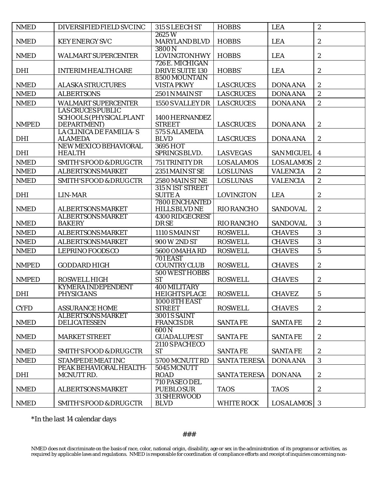| <b>NMED</b>  | DIVERSIFIED FIELD SVC INC                                                 | 315 S LEECH ST                            | <b>HOBBS</b>        | <b>LEA</b>        | $\boldsymbol{2}$ |
|--------------|---------------------------------------------------------------------------|-------------------------------------------|---------------------|-------------------|------------------|
| <b>NMED</b>  | <b>KEY ENERGY SVC</b>                                                     | 2625W<br><b>MARYLAND BLVD</b>             | <b>HOBBS</b>        | <b>LEA</b>        | $\boldsymbol{2}$ |
| <b>NMED</b>  | <b>WALMART SUPERCENTER</b>                                                | 3800N<br><b>LOVINGTONHWY</b>              | <b>HOBBS</b>        | <b>LEA</b>        | $\boldsymbol{2}$ |
| <b>DHI</b>   | <b>INTERIM HEALTH CARE</b>                                                | 726 E. MICHIGAN<br><b>DRIVE SUITE 130</b> | HOBBS`              | <b>LEA</b>        | $\boldsymbol{2}$ |
| <b>NMED</b>  | <b>ALASKA STRUCTURES</b>                                                  | 8500 MOUNTAIN<br><b>VISTA PKWY</b>        | <b>LAS CRUCES</b>   | <b>DONA ANA</b>   | $\boldsymbol{2}$ |
| <b>NMED</b>  | <b>ALBERTSONS</b>                                                         | 2501 N MAIN ST                            | <b>LAS CRUCES</b>   | <b>DONA ANA</b>   | $\boldsymbol{2}$ |
| <b>NMED</b>  | <b>WALMART SUPERCENTER</b>                                                | 1550 S VALLEY DR                          | <b>LAS CRUCES</b>   | <b>DONA ANA</b>   | $\sqrt{2}$       |
| <b>NMPED</b> | <b>LAS CRUCES PUBLIC</b><br><b>SCHOOLS (PHYSICAL PLANT</b><br>DEPARTMENT) | 1400 HERNANDEZ<br><b>STREET</b>           | <b>LAS CRUCES</b>   | <b>DONA ANA</b>   | $\boldsymbol{2}$ |
| DHI          | LA CLINICA DE FAMILIA-S<br><b>ALAMEDA</b>                                 | 575 S ALAMEDA<br><b>BLVD</b>              | <b>LAS CRUCES</b>   | <b>DONA ANA</b>   | $\boldsymbol{2}$ |
| <b>DHI</b>   | NEW MEXICO BEHAVIORAL<br><b>HEALTH</b>                                    | 3695 HOT<br>SPRINGS BLVD.                 | <b>LASVEGAS</b>     | <b>SAN MIGUEL</b> | 4                |
| <b>NMED</b>  | <b>SMITH'S FOOD &amp; DRUG CTR</b>                                        | 751 TRINITY DR                            | <b>LOSALAMOS</b>    | <b>LOSALAMOS</b>  | $\boldsymbol{2}$ |
| <b>NMED</b>  | <b>ALBERTSONS MARKET</b>                                                  | 2351 MAIN ST SE                           | <b>LOSLUNAS</b>     | <b>VALENCIA</b>   | $\boldsymbol{2}$ |
| <b>NMED</b>  | <b>SMITH'S FOOD &amp; DRUG CTR</b>                                        | 2580 MAIN ST NE                           | <b>LOSLUNAS</b>     | <b>VALENCIA</b>   | $\boldsymbol{2}$ |
| <b>DHI</b>   | LIN-MAR                                                                   | 315 N 1ST STREET<br><b>SUITEA</b>         | <b>LOVINGTON</b>    | <b>LEA</b>        | $\boldsymbol{2}$ |
| <b>NMED</b>  | <b>ALBERTSONS MARKET</b>                                                  | 7800 ENCHANTED<br><b>HILLS BLVD NE</b>    | <b>RIO RANCHO</b>   | <b>SANDOVAL</b>   | $\boldsymbol{2}$ |
| <b>NMED</b>  | <b>ALBERTSONS MARKET</b><br><b>BAKERY</b>                                 | 4300 RIDGECREST<br><b>DRSE</b>            | <b>RIO RANCHO</b>   | <b>SANDOVAL</b>   | 3                |
| <b>NMED</b>  | <b>ALBERTSONS MARKET</b>                                                  | 1110 SMAIN ST                             | <b>ROSWELL</b>      | <b>CHAVES</b>     | 3                |
| <b>NMED</b>  | <b>ALBERTSONS MARKET</b>                                                  | 900 W 2ND ST                              | <b>ROSWELL</b>      | <b>CHAVES</b>     | 3                |
| <b>NMED</b>  | LEPRINO FOODS CO                                                          | 5600 OMAHA RD                             | <b>ROSWELL</b>      | <b>CHAVES</b>     | $\overline{5}$   |
| <b>NMPED</b> | <b>GODDARD HIGH</b>                                                       | 701 EAST<br><b>COUNTRY CLUB</b>           | <b>ROSWELL</b>      | <b>CHAVES</b>     | $\boldsymbol{2}$ |
| <b>NMPED</b> | <b>ROSWELL HIGH</b>                                                       | <b>500 WEST HOBBS</b><br><b>ST</b>        | <b>ROSWELL</b>      | <b>CHAVES</b>     | $\boldsymbol{2}$ |
| <b>DHI</b>   | <b>KYMERA INDEPENDENT</b><br><b>PHYSICIANS</b>                            | 400 MILITARY<br><b>HEIGHTS PLACE</b>      | <b>ROSWELL</b>      | <b>CHAVEZ</b>     | $\mathbf{5}$     |
| <b>CYFD</b>  | <b>ASSURANCE HOME</b>                                                     | 1000 8TH EAST<br><b>STREET</b>            | <b>ROSWELL</b>      | <b>CHAVES</b>     | $\mathbf{2}$     |
| <b>NMED</b>  | <b>ALBERTSONS MARKET</b><br><b>DELICATESSEN</b>                           | <b>3001 S SAINT</b><br><b>FRANCISDR</b>   | <b>SANTAFE</b>      | <b>SANTAFE</b>    | $\mathbf{2}$     |
| <b>NMED</b>  | <b>MARKET STREET</b>                                                      | 600N<br><b>GUADALUPEST</b>                | <b>SANTAFE</b>      | <b>SANTAFE</b>    | $\boldsymbol{2}$ |
| <b>NMED</b>  | <b>SMITH'S FOOD &amp; DRUG CTR</b>                                        | 2110 SPACHECO<br><b>ST</b>                | <b>SANTAFE</b>      | <b>SANTAFE</b>    | $\boldsymbol{2}$ |
| <b>NMED</b>  | <b>STAMPEDEMEATINC</b>                                                    | 5700 MCNUTT RD                            | <b>SANTA TERESA</b> | <b>DONA ANA</b>   | 3                |
| <b>DHI</b>   | PEAK BEHAVIORAL HEALTH-<br>MCNUTTRD.                                      | 5045 MCNUTT<br><b>ROAD</b>                | <b>SANTA TERESA</b> | <b>DON ANA</b>    | $\boldsymbol{2}$ |
| <b>NMED</b>  | <b>ALBERTSONS MARKET</b>                                                  | 710 PASEO DEL<br><b>PUEBLOSUR</b>         | <b>TAOS</b>         | <b>TAOS</b>       | $\boldsymbol{2}$ |
| <b>NMED</b>  | <b>SMITH'S FOOD &amp; DRUG CTR</b>                                        | 31 SHERWOOD<br><b>BLVD</b>                | <b>WHITE ROCK</b>   | <b>LOSALAMOS</b>  | 3                |

\*In the last 14 calendar days

NMED does not discriminate on the basis of race, color, national origin, disability, age or sex in the administration of its programs or activities, as required by applicable laws and regulations. NMED is responsible for coordination of compliance efforts and receipt of inquiries concerning non-